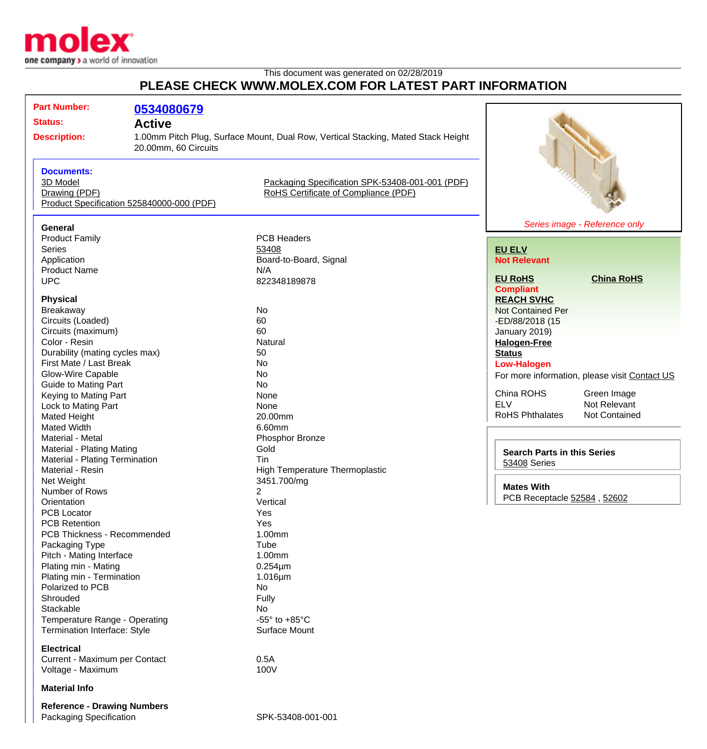

## This document was generated on 02/28/2019 **PLEASE CHECK WWW.MOLEX.COM FOR LATEST PART INFORMATION**

| <b>Part Number:</b><br><b>Status:</b><br><b>Description:</b>                                                                                                                                                              | 0534080679<br><b>Active</b><br>20.00mm, 60 Circuits | 1.00mm Pitch Plug, Surface Mount, Dual Row, Vertical Stacking, Mated Stack Height             |                                                                                                                                               |                                                                                               |
|---------------------------------------------------------------------------------------------------------------------------------------------------------------------------------------------------------------------------|-----------------------------------------------------|-----------------------------------------------------------------------------------------------|-----------------------------------------------------------------------------------------------------------------------------------------------|-----------------------------------------------------------------------------------------------|
| <b>Documents:</b><br>3D Model<br>Drawing (PDF)                                                                                                                                                                            | Product Specification 525840000-000 (PDF)           | Packaging Specification SPK-53408-001-001 (PDF)<br>RoHS Certificate of Compliance (PDF)       |                                                                                                                                               |                                                                                               |
| <b>General</b>                                                                                                                                                                                                            |                                                     |                                                                                               |                                                                                                                                               | Series image - Reference only                                                                 |
| <b>Product Family</b><br><b>Series</b><br>Application<br><b>Product Name</b><br><b>UPC</b>                                                                                                                                |                                                     | <b>PCB Headers</b><br>53408<br>Board-to-Board, Signal<br>N/A<br>822348189878                  | <b>EU ELV</b><br><b>Not Relevant</b><br><b>EU RoHS</b>                                                                                        | <b>China RoHS</b>                                                                             |
| <b>Physical</b><br>Breakaway<br>Circuits (Loaded)<br>Circuits (maximum)<br>Color - Resin<br>Durability (mating cycles max)                                                                                                |                                                     | <b>No</b><br>60<br>60<br>Natural<br>50                                                        | <b>Compliant</b><br><b>REACH SVHC</b><br><b>Not Contained Per</b><br>-ED/88/2018 (15<br>January 2019)<br><b>Halogen-Free</b><br><b>Status</b> |                                                                                               |
| First Mate / Last Break<br>Glow-Wire Capable<br><b>Guide to Mating Part</b><br>Keying to Mating Part<br>Lock to Mating Part<br><b>Mated Height</b><br><b>Mated Width</b>                                                  |                                                     | <b>No</b><br><b>No</b><br><b>No</b><br>None<br>None<br>20.00mm<br>6.60mm                      | <b>Low-Halogen</b><br>China ROHS<br><b>ELV</b><br><b>RoHS Phthalates</b>                                                                      | For more information, please visit Contact US<br>Green Image<br>Not Relevant<br>Not Contained |
| Material - Metal<br><b>Material - Plating Mating</b><br>Material - Plating Termination<br>Material - Resin                                                                                                                |                                                     | Phosphor Bronze<br>Gold<br>Tin<br>High Temperature Thermoplastic                              | <b>Search Parts in this Series</b><br>53408 Series                                                                                            |                                                                                               |
| Net Weight<br>Number of Rows<br>Orientation                                                                                                                                                                               |                                                     | 3451.700/mg<br>2<br>Vertical                                                                  | <b>Mates With</b><br>PCB Receptacle 52584, 52602                                                                                              |                                                                                               |
| <b>PCB Locator</b><br><b>PCB Retention</b><br>PCB Thickness - Recommended<br>Packaging Type<br>Pitch - Mating Interface<br>Plating min - Mating<br>Plating min - Termination<br>Polarized to PCB<br>Shrouded<br>Stackable |                                                     | Yes<br>Yes<br>1.00mm<br>Tube<br>1.00mm<br>$0.254 \mu m$<br>$1.016 \mu m$<br>No<br>Fully<br>No |                                                                                                                                               |                                                                                               |
| Temperature Range - Operating<br>Termination Interface: Style<br><b>Electrical</b><br>Current - Maximum per Contact<br>Voltage - Maximum                                                                                  |                                                     | $-55^\circ$ to $+85^\circ$ C<br>Surface Mount<br>0.5A<br>100V                                 |                                                                                                                                               |                                                                                               |
| <b>Material Info</b>                                                                                                                                                                                                      |                                                     |                                                                                               |                                                                                                                                               |                                                                                               |
| <b>Reference - Drawing Numbers</b>                                                                                                                                                                                        |                                                     |                                                                                               |                                                                                                                                               |                                                                                               |
|                                                                                                                                                                                                                           |                                                     |                                                                                               |                                                                                                                                               |                                                                                               |

Packaging Specification SPK-53408-001-001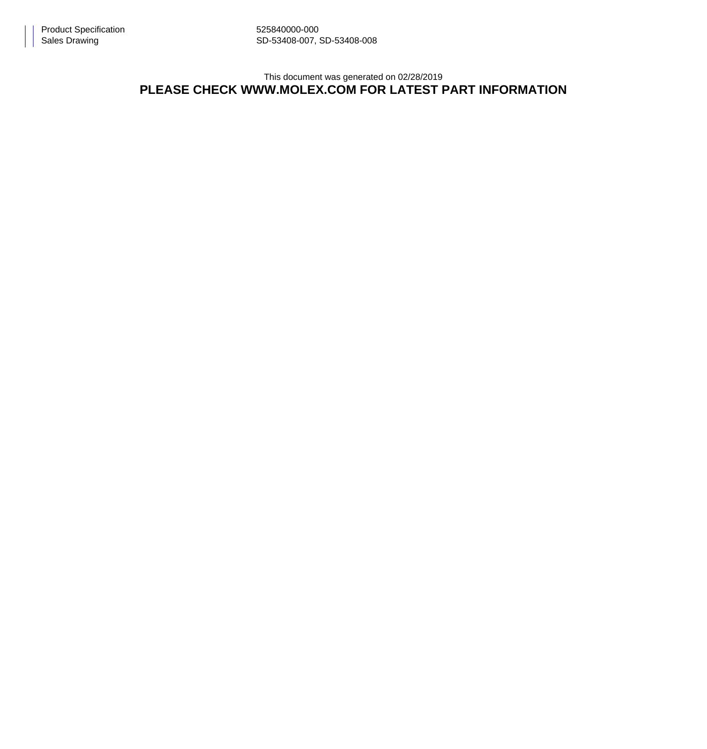## This document was generated on 02/28/2019 **PLEASE CHECK WWW.MOLEX.COM FOR LATEST PART INFORMATION**